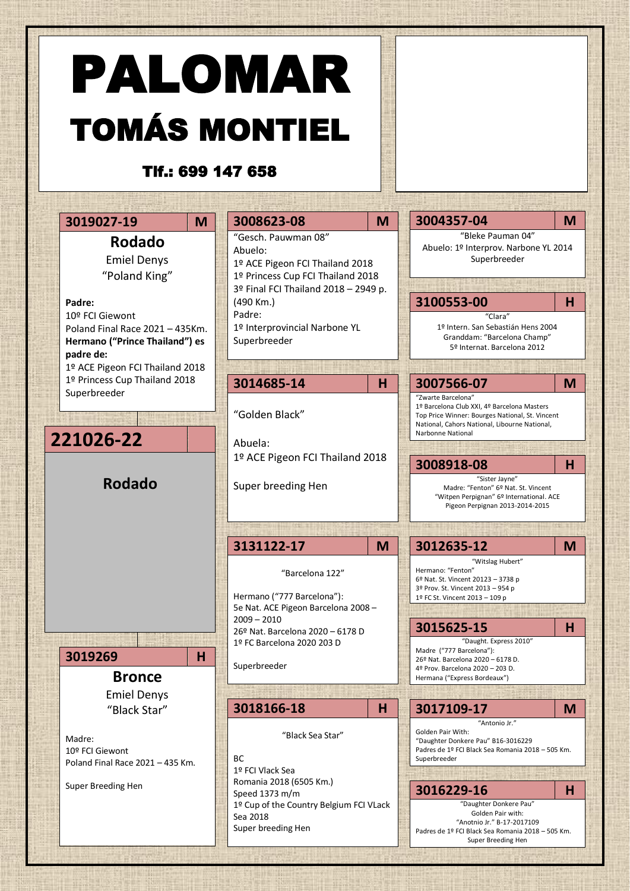## PALOMAR TOMÁS MONTIEL

## Tlf.: 699 147 658

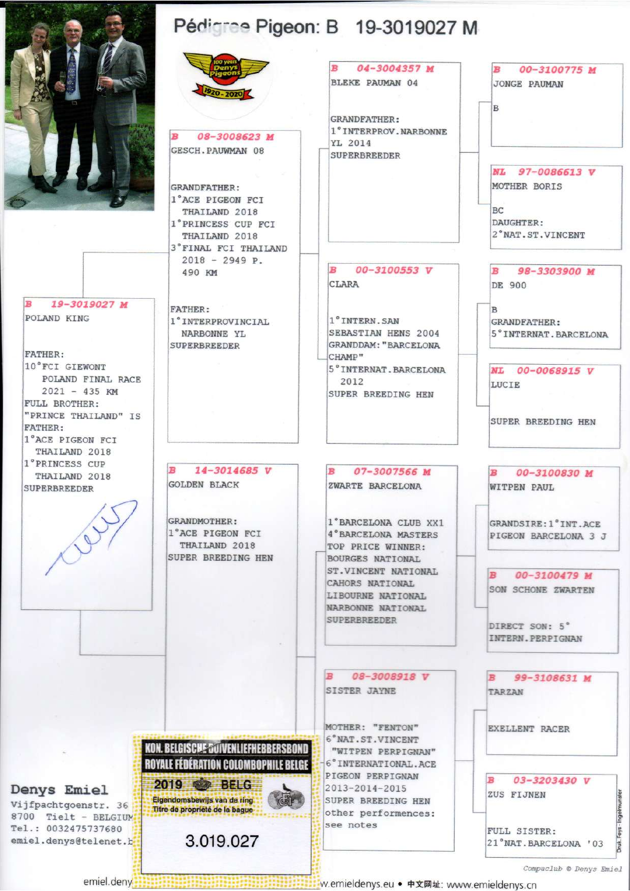

19-3019027 M POLAND KING

FATHER : 10°FCI GIEWONT POLAND FINAL RACE  $2021 - 435$  KM FULL BROTHER: "PRINCE THAILAND" IS **FATHER:** 1°ACE PIGEON FCI THAILAND 2018 1° PRINCESS CUP THAILAND 2018 **SUPERBREEDER** 

## Pédigree Pigeon: B 19-3019027 M